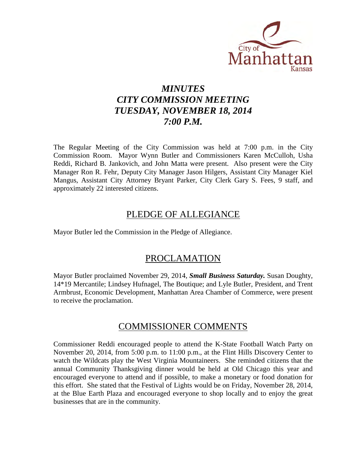

# *MINUTES CITY COMMISSION MEETING TUESDAY, NOVEMBER 18, 2014 7:00 P.M.*

The Regular Meeting of the City Commission was held at 7:00 p.m. in the City Commission Room. Mayor Wynn Butler and Commissioners Karen McCulloh, Usha Reddi, Richard B. Jankovich, and John Matta were present. Also present were the City Manager Ron R. Fehr, Deputy City Manager Jason Hilgers, Assistant City Manager Kiel Mangus, Assistant City Attorney Bryant Parker, City Clerk Gary S. Fees, 9 staff, and approximately 22 interested citizens.

### PLEDGE OF ALLEGIANCE

Mayor Butler led the Commission in the Pledge of Allegiance.

### PROCLAMATION

Mayor Butler proclaimed November 29, 2014, *Small Business Saturday.* Susan Doughty, 14\*19 Mercantile; Lindsey Hufnagel, The Boutique; and Lyle Butler, President, and Trent Armbrust, Economic Development, Manhattan Area Chamber of Commerce, were present to receive the proclamation.

### COMMISSIONER COMMENTS

Commissioner Reddi encouraged people to attend the K-State Football Watch Party on November 20, 2014, from 5:00 p.m. to 11:00 p.m., at the Flint Hills Discovery Center to watch the Wildcats play the West Virginia Mountaineers. She reminded citizens that the annual Community Thanksgiving dinner would be held at Old Chicago this year and encouraged everyone to attend and if possible, to make a monetary or food donation for this effort. She stated that the Festival of Lights would be on Friday, November 28, 2014, at the Blue Earth Plaza and encouraged everyone to shop locally and to enjoy the great businesses that are in the community.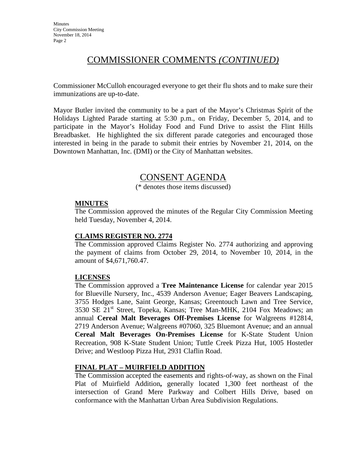# COMMISSIONER COMMENTS *(CONTINUED)*

Commissioner McCulloh encouraged everyone to get their flu shots and to make sure their immunizations are up-to-date.

Mayor Butler invited the community to be a part of the Mayor's Christmas Spirit of the Holidays Lighted Parade starting at 5:30 p.m., on Friday, December 5, 2014, and to participate in the Mayor's Holiday Food and Fund Drive to assist the Flint Hills Breadbasket. He highlighted the six different parade categories and encouraged those interested in being in the parade to submit their entries by November 21, 2014, on the Downtown Manhattan, Inc. (DMI) or the City of Manhattan websites.

### CONSENT AGENDA

(\* denotes those items discussed)

### **MINUTES**

The Commission approved the minutes of the Regular City Commission Meeting held Tuesday, November 4, 2014.

### **CLAIMS REGISTER NO. 2774**

The Commission approved Claims Register No. 2774 authorizing and approving the payment of claims from October 29, 2014, to November 10, 2014, in the amount of \$4,671,760.47.

### **LICENSES**

The Commission approved a **Tree Maintenance License** for calendar year 2015 for Blueville Nursery, Inc., 4539 Anderson Avenue; Eager Beavers Landscaping, 3755 Hodges Lane, Saint George, Kansas; Greentouch Lawn and Tree Service, 3530 SE 21st Street, Topeka, Kansas; Tree Man-MHK, 2104 Fox Meadows; an annual **Cereal Malt Beverages Off-Premises License** for Walgreens #12814, 2719 Anderson Avenue; Walgreens #07060, 325 Bluemont Avenue; and an annual **Cereal Malt Beverages On-Premises License** for K-State Student Union Recreation, 908 K-State Student Union; Tuttle Creek Pizza Hut, 1005 Hostetler Drive; and Westloop Pizza Hut, 2931 Claflin Road.

### **FINAL PLAT – MUIRFIELD ADDITION**

The Commission accepted the easements and rights-of-way, as shown on the Final Plat of Muirfield Addition**,** generally located 1,300 feet northeast of the intersection of Grand Mere Parkway and Colbert Hills Drive, based on conformance with the Manhattan Urban Area Subdivision Regulations.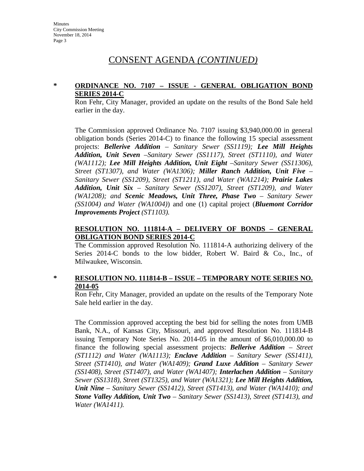### **\* ORDINANCE NO. 7107 – ISSUE - GENERAL OBLIGATION BOND SERIES 2014-C**

Ron Fehr, City Manager, provided an update on the results of the Bond Sale held earlier in the day.

The Commission approved Ordinance No. 7107 issuing \$3,940,000.00 in general obligation bonds (Series 2014-C) to finance the following 15 special assessment projects: *Bellerive Addition – Sanitary Sewer (SS1119); Lee Mill Heights Addition, Unit Seven –Sanitary Sewer (SS1117), Street (ST1110), and Water (WA1112); Lee Mill Heights Addition, Unit Eight –Sanitary Sewer (SS11306), Street (ST1307), and Water (WA1306); Miller Ranch Addition, Unit Five – Sanitary Sewer (SS1209), Street (ST1211), and Water (WA1214); Prairie Lakes Addition, Unit Six – Sanitary Sewer (SS1207), Street (ST1209), and Water (WA1208); and Scenic Meadows, Unit Three, Phase Two – Sanitary Sewer (SS1004) and Water (WA1004)*) and one (1) capital project (*Bluemont Corridor Improvements Project (ST1103).*

### **RESOLUTION NO. 111814-A – DELIVERY OF BONDS – GENERAL OBLIGATION BOND SERIES 2014-C**

The Commission approved Resolution No. 111814-A authorizing delivery of the Series 2014-C bonds to the low bidder, Robert W. Baird & Co., Inc., of Milwaukee, Wisconsin.

### **\* RESOLUTION NO. 111814-B – ISSUE – TEMPORARY NOTE SERIES NO. 2014-05**

Ron Fehr, City Manager, provided an update on the results of the Temporary Note Sale held earlier in the day.

The Commission approved accepting the best bid for selling the notes from UMB Bank, N.A., of Kansas City, Missouri, and approved Resolution No. 111814-B issuing Temporary Note Series No. 2014-05 in the amount of \$6,010,000.00 to finance the following special assessment projects: *Bellerive Addition – Street (ST1112) and Water (WA1113); Enclave Addition – Sanitary Sewer (SS1411), Street (ST1410), and Water (WA1409); Grand Luxe Addition – Sanitary Sewer (SS1408), Street (ST1407), and Water (WA1407); Interlachen Addition – Sanitary Sewer (SS1318), Street (ST1325), and Water (WA1321); Lee Mill Heights Addition, Unit Nine – Sanitary Sewer (SS1412), Street (ST1413), and Water (WA1410); and Stone Valley Addition, Unit Two – Sanitary Sewer (SS1413), Street (ST1413), and Water (WA1411).*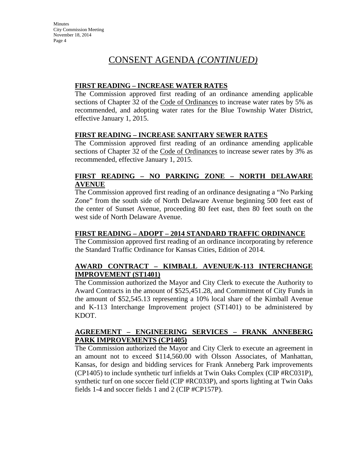### **FIRST READING – INCREASE WATER RATES**

The Commission approved first reading of an ordinance amending applicable sections of Chapter 32 of the Code of Ordinances to increase water rates by 5% as recommended, and adopting water rates for the Blue Township Water District, effective January 1, 2015.

### **FIRST READING – INCREASE SANITARY SEWER RATES**

The Commission approved first reading of an ordinance amending applicable sections of Chapter 32 of the Code of Ordinances to increase sewer rates by 3% as recommended, effective January 1, 2015.

### **FIRST READING – NO PARKING ZONE – NORTH DELAWARE AVENUE**

The Commission approved first reading of an ordinance designating a "No Parking Zone" from the south side of North Delaware Avenue beginning 500 feet east of the center of Sunset Avenue, proceeding 80 feet east, then 80 feet south on the west side of North Delaware Avenue.

### **FIRST READING – ADOPT – 2014 STANDARD TRAFFIC ORDINANCE**

The Commission approved first reading of an ordinance incorporating by reference the Standard Traffic Ordinance for Kansas Cities, Edition of 2014.

### **AWARD CONTRACT – KIMBALL AVENUE/K-113 INTERCHANGE IMPROVEMENT (ST1401)**

The Commission authorized the Mayor and City Clerk to execute the Authority to Award Contracts in the amount of \$525,451.28, and Commitment of City Funds in the amount of \$52,545.13 representing a 10% local share of the Kimball Avenue and K-113 Interchange Improvement project (ST1401) to be administered by KDOT.

### **AGREEMENT – ENGINEERING SERVICES – FRANK ANNEBERG PARK IMPROVEMENTS (CP1405)**

The Commission authorized the Mayor and City Clerk to execute an agreement in an amount not to exceed \$114,560.00 with Olsson Associates, of Manhattan, Kansas, for design and bidding services for Frank Anneberg Park improvements (CP1405) to include synthetic turf infields at Twin Oaks Complex (CIP #RC031P), synthetic turf on one soccer field (CIP #RC033P), and sports lighting at Twin Oaks fields 1-4 and soccer fields 1 and 2 (CIP #CP157P).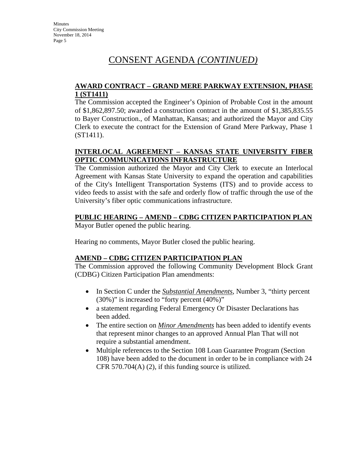### **AWARD CONTRACT – GRAND MERE PARKWAY EXTENSION, PHASE 1 (ST1411)**

The Commission accepted the Engineer's Opinion of Probable Cost in the amount of \$1,862,897.50; awarded a construction contract in the amount of \$1,385,835.55 to Bayer Construction., of Manhattan, Kansas; and authorized the Mayor and City Clerk to execute the contract for the Extension of Grand Mere Parkway, Phase 1 (ST1411).

### **INTERLOCAL AGREEMENT – KANSAS STATE UNIVERSITY FIBER OPTIC COMMUNICATIONS INFRASTRUCTURE**

The Commission authorized the Mayor and City Clerk to execute an Interlocal Agreement with Kansas State University to expand the operation and capabilities of the City's Intelligent Transportation Systems (ITS) and to provide access to video feeds to assist with the safe and orderly flow of traffic through the use of the University's fiber optic communications infrastructure.

### **PUBLIC HEARING – AMEND – CDBG CITIZEN PARTICIPATION PLAN**

Mayor Butler opened the public hearing.

Hearing no comments, Mayor Butler closed the public hearing.

### **AMEND – CDBG CITIZEN PARTICIPATION PLAN**

The Commission approved the following Community Development Block Grant (CDBG) Citizen Participation Plan amendments:

- In Section C under the *Substantial Amendments*, Number 3, "thirty percent (30%)" is increased to "forty percent (40%)"
- a statement regarding Federal Emergency Or Disaster Declarations has been added.
- The entire section on *Minor Amendments* has been added to identify events that represent minor changes to an approved Annual Plan That will not require a substantial amendment.
- Multiple references to the Section 108 Loan Guarantee Program (Section 108) have been added to the document in order to be in compliance with 24 CFR 570.704(A)  $(2)$ , if this funding source is utilized.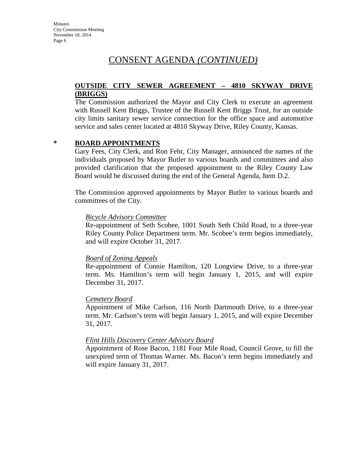#### **OUTSIDE CITY SEWER AGREEMENT – 4810 SKYWAY DRIVE (BRIGGS)**

The Commission authorized the Mayor and City Clerk to execute an agreement with Russell Kent Briggs, Trustee of the Russell Kent Briggs Trust, for an outside city limits sanitary sewer service connection for the office space and automotive service and sales center located at 4810 Skyway Drive, Riley County, Kansas.

#### **\* BOARD APPOINTMENTS**

Gary Fees, City Clerk, and Ron Fehr, City Manager, announced the names of the individuals proposed by Mayor Butler to various boards and committees and also provided clarification that the proposed appointment to the Riley County Law Board would be discussed during the end of the General Agenda, Item D.2.

The Commission approved appointments by Mayor Butler to various boards and committees of the City.

#### *Bicycle Advisory Committee*

Re-appointment of Seth Scobee, 1001 South Seth Child Road, to a three-year Riley County Police Department term. Mr. Scobee's term begins immediately, and will expire October 31, 2017.

#### *Board of Zoning Appeals*

Re-appointment of Connie Hamilton, 120 Longview Drive, to a three-year term. Ms. Hamilton's term will begin January 1, 2015, and will expire December 31, 2017.

#### *Cemetery Board*

Appointment of Mike Carlson, 116 North Dartmouth Drive, to a three-year term. Mr. Carlson's term will begin January 1, 2015, and will expire December 31, 2017.

#### *Flint Hills Discovery Center Advisory Board*

Appointment of Rose Bacon, 1181 Four Mile Road, Council Grove, to fill the unexpired term of Thomas Warner. Ms. Bacon's term begins immediately and will expire January 31, 2017.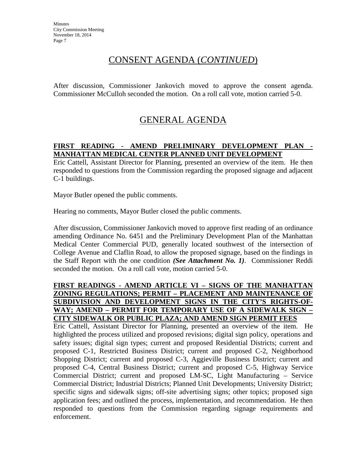After discussion, Commissioner Jankovich moved to approve the consent agenda. Commissioner McCulloh seconded the motion. On a roll call vote, motion carried 5-0.

# GENERAL AGENDA

### **FIRST READING - AMEND PRELIMINARY DEVELOPMENT PLAN - MANHATTAN MEDICAL CENTER PLANNED UNIT DEVELOPMENT**

Eric Cattell, Assistant Director for Planning, presented an overview of the item. He then responded to questions from the Commission regarding the proposed signage and adjacent C-1 buildings.

Mayor Butler opened the public comments.

Hearing no comments, Mayor Butler closed the public comments.

After discussion, Commissioner Jankovich moved to approve first reading of an ordinance amending Ordinance No. 6451 and the Preliminary Development Plan of the Manhattan Medical Center Commercial PUD, generally located southwest of the intersection of College Avenue and Claflin Road, to allow the proposed signage, based on the findings in the Staff Report with the one condition *(See Attachment No. 1)*. Commissioner Reddi seconded the motion. On a roll call vote, motion carried 5-0.

### **FIRST READINGS - AMEND ARTICLE VI – SIGNS OF THE MANHATTAN ZONING REGULATIONS; PERMIT – PLACEMENT AND MAINTENANCE OF SUBDIVISION AND DEVELOPMENT SIGNS IN THE CITY'S RIGHTS-OF-WAY; AMEND – PERMIT FOR TEMPORARY USE OF A SIDEWALK SIGN – CITY SIDEWALK OR PUBLIC PLAZA; AND AMEND SIGN PERMIT FEES**

Eric Cattell, Assistant Director for Planning, presented an overview of the item. He highlighted the process utilized and proposed revisions; digital sign policy, operations and safety issues; digital sign types; current and proposed Residential Districts; current and proposed C-1, Restricted Business District; current and proposed C-2, Neighborhood Shopping District; current and proposed C-3, Aggieville Business District; current and proposed C-4, Central Business District; current and proposed C-5, Highway Service Commercial District; current and proposed LM-SC, Light Manufacturing – Service Commercial District; Industrial Districts; Planned Unit Developments; University District; specific signs and sidewalk signs; off-site advertising signs; other topics; proposed sign application fees; and outlined the process, implementation, and recommendation. He then responded to questions from the Commission regarding signage requirements and enforcement.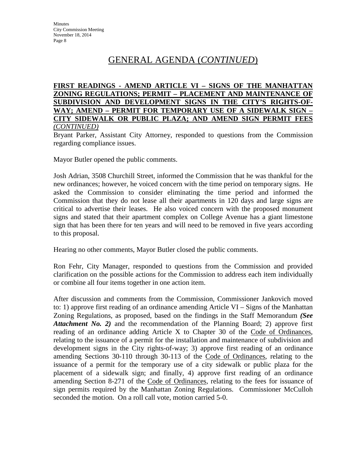#### **FIRST READINGS - AMEND ARTICLE VI – SIGNS OF THE MANHATTAN ZONING REGULATIONS; PERMIT – PLACEMENT AND MAINTENANCE OF SUBDIVISION AND DEVELOPMENT SIGNS IN THE CITY'S RIGHTS-OF-WAY; AMEND – PERMIT FOR TEMPORARY USE OF A SIDEWALK SIGN – CITY SIDEWALK OR PUBLIC PLAZA; AND AMEND SIGN PERMIT FEES**  *(CONTINUED)*

Bryant Parker, Assistant City Attorney, responded to questions from the Commission regarding compliance issues.

Mayor Butler opened the public comments.

Josh Adrian, 3508 Churchill Street, informed the Commission that he was thankful for the new ordinances; however, he voiced concern with the time period on temporary signs. He asked the Commission to consider eliminating the time period and informed the Commission that they do not lease all their apartments in 120 days and large signs are critical to advertise their leases. He also voiced concern with the proposed monument signs and stated that their apartment complex on College Avenue has a giant limestone sign that has been there for ten years and will need to be removed in five years according to this proposal.

Hearing no other comments, Mayor Butler closed the public comments.

Ron Fehr, City Manager, responded to questions from the Commission and provided clarification on the possible actions for the Commission to address each item individually or combine all four items together in one action item.

After discussion and comments from the Commission, Commissioner Jankovich moved to: 1) approve first reading of an ordinance amending Article VI – Signs of the Manhattan Zoning Regulations, as proposed, based on the findings in the Staff Memorandum *(See Attachment No. 2)* and the recommendation of the Planning Board; 2) approve first reading of an ordinance adding Article X to Chapter 30 of the Code of Ordinances, relating to the issuance of a permit for the installation and maintenance of subdivision and development signs in the City rights-of-way; 3) approve first reading of an ordinance amending Sections 30-110 through 30-113 of the Code of Ordinances, relating to the issuance of a permit for the temporary use of a city sidewalk or public plaza for the placement of a sidewalk sign; and finally, 4) approve first reading of an ordinance amending Section 8-271 of the Code of Ordinances, relating to the fees for issuance of sign permits required by the Manhattan Zoning Regulations. Commissioner McCulloh seconded the motion. On a roll call vote, motion carried 5-0.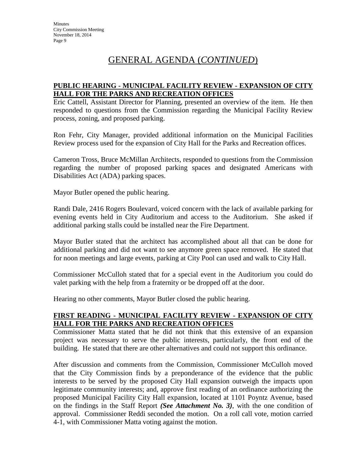### **PUBLIC HEARING - MUNICIPAL FACILITY REVIEW - EXPANSION OF CITY HALL FOR THE PARKS AND RECREATION OFFICES**

Eric Cattell, Assistant Director for Planning, presented an overview of the item. He then responded to questions from the Commission regarding the Municipal Facility Review process, zoning, and proposed parking.

Ron Fehr, City Manager, provided additional information on the Municipal Facilities Review process used for the expansion of City Hall for the Parks and Recreation offices.

Cameron Tross, Bruce McMillan Architects, responded to questions from the Commission regarding the number of proposed parking spaces and designated Americans with Disabilities Act (ADA) parking spaces.

Mayor Butler opened the public hearing.

Randi Dale, 2416 Rogers Boulevard, voiced concern with the lack of available parking for evening events held in City Auditorium and access to the Auditorium. She asked if additional parking stalls could be installed near the Fire Department.

Mayor Butler stated that the architect has accomplished about all that can be done for additional parking and did not want to see anymore green space removed. He stated that for noon meetings and large events, parking at City Pool can used and walk to City Hall.

Commissioner McCulloh stated that for a special event in the Auditorium you could do valet parking with the help from a fraternity or be dropped off at the door.

Hearing no other comments, Mayor Butler closed the public hearing.

### **FIRST READING - MUNICIPAL FACILITY REVIEW - EXPANSION OF CITY HALL FOR THE PARKS AND RECREATION OFFICES**

Commissioner Matta stated that he did not think that this extensive of an expansion project was necessary to serve the public interests, particularly, the front end of the building. He stated that there are other alternatives and could not support this ordinance.

After discussion and comments from the Commission, Commissioner McCulloh moved that the City Commission finds by a preponderance of the evidence that the public interests to be served by the proposed City Hall expansion outweigh the impacts upon legitimate community interests; and, approve first reading of an ordinance authorizing the proposed Municipal Facility City Hall expansion, located at 1101 Poyntz Avenue, based on the findings in the Staff Report *(See Attachment No. 3)*, with the one condition of approval. Commissioner Reddi seconded the motion. On a roll call vote, motion carried 4-1, with Commissioner Matta voting against the motion.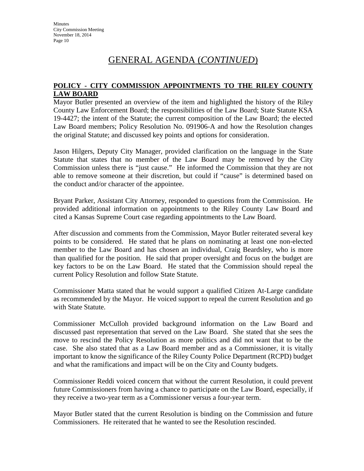### **POLICY - CITY COMMISSION APPOINTMENTS TO THE RILEY COUNTY LAW BOARD**

Mayor Butler presented an overview of the item and highlighted the history of the Riley County Law Enforcement Board; the responsibilities of the Law Board; State Statute KSA 19-4427; the intent of the Statute; the current composition of the Law Board; the elected Law Board members; Policy Resolution No. 091906-A and how the Resolution changes the original Statute; and discussed key points and options for consideration.

Jason Hilgers, Deputy City Manager, provided clarification on the language in the State Statute that states that no member of the Law Board may be removed by the City Commission unless there is "just cause." He informed the Commission that they are not able to remove someone at their discretion, but could if "cause" is determined based on the conduct and/or character of the appointee.

Bryant Parker, Assistant City Attorney, responded to questions from the Commission. He provided additional information on appointments to the Riley County Law Board and cited a Kansas Supreme Court case regarding appointments to the Law Board.

After discussion and comments from the Commission, Mayor Butler reiterated several key points to be considered. He stated that he plans on nominating at least one non-elected member to the Law Board and has chosen an individual, Craig Beardsley, who is more than qualified for the position. He said that proper oversight and focus on the budget are key factors to be on the Law Board. He stated that the Commission should repeal the current Policy Resolution and follow State Statute.

Commissioner Matta stated that he would support a qualified Citizen At-Large candidate as recommended by the Mayor. He voiced support to repeal the current Resolution and go with State Statute.

Commissioner McCulloh provided background information on the Law Board and discussed past representation that served on the Law Board. She stated that she sees the move to rescind the Policy Resolution as more politics and did not want that to be the case. She also stated that as a Law Board member and as a Commissioner, it is vitally important to know the significance of the Riley County Police Department (RCPD) budget and what the ramifications and impact will be on the City and County budgets.

Commissioner Reddi voiced concern that without the current Resolution, it could prevent future Commissioners from having a chance to participate on the Law Board, especially, if they receive a two-year term as a Commissioner versus a four-year term.

Mayor Butler stated that the current Resolution is binding on the Commission and future Commissioners. He reiterated that he wanted to see the Resolution rescinded.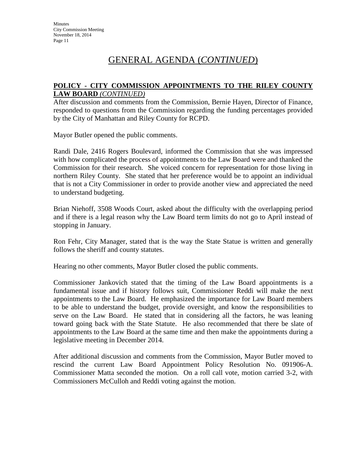### **POLICY - CITY COMMISSION APPOINTMENTS TO THE RILEY COUNTY LAW BOARD** *(CONTINUED)*

After discussion and comments from the Commission, Bernie Hayen, Director of Finance, responded to questions from the Commission regarding the funding percentages provided by the City of Manhattan and Riley County for RCPD.

Mayor Butler opened the public comments.

Randi Dale, 2416 Rogers Boulevard, informed the Commission that she was impressed with how complicated the process of appointments to the Law Board were and thanked the Commission for their research. She voiced concern for representation for those living in northern Riley County. She stated that her preference would be to appoint an individual that is not a City Commissioner in order to provide another view and appreciated the need to understand budgeting.

Brian Niehoff, 3508 Woods Court, asked about the difficulty with the overlapping period and if there is a legal reason why the Law Board term limits do not go to April instead of stopping in January.

Ron Fehr, City Manager, stated that is the way the State Statue is written and generally follows the sheriff and county statutes.

Hearing no other comments, Mayor Butler closed the public comments.

Commissioner Jankovich stated that the timing of the Law Board appointments is a fundamental issue and if history follows suit, Commissioner Reddi will make the next appointments to the Law Board. He emphasized the importance for Law Board members to be able to understand the budget, provide oversight, and know the responsibilities to serve on the Law Board. He stated that in considering all the factors, he was leaning toward going back with the State Statute. He also recommended that there be slate of appointments to the Law Board at the same time and then make the appointments during a legislative meeting in December 2014.

After additional discussion and comments from the Commission, Mayor Butler moved to rescind the current Law Board Appointment Policy Resolution No. 091906-A. Commissioner Matta seconded the motion. On a roll call vote, motion carried 3-2, with Commissioners McCulloh and Reddi voting against the motion.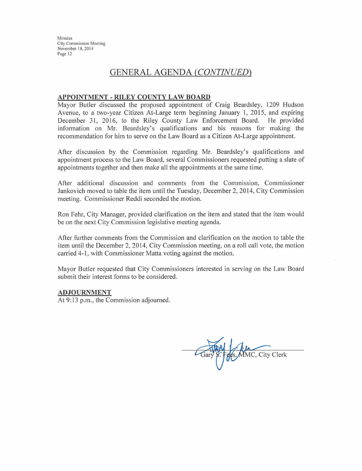### **GENERAL AGENDA (CONTINUED)**

#### APPOINTMENT - RILEY COUNTY LAW BOARD

Mayor Butler discussed the proposed appointment of Craig Beardsley, 1209 Hudson Avenue, to a two-year Citizen At-Large term beginning January 1, 2015, and expiring December 31, 2016, to the Riley County Law Enforcement Board. He provided information on Mr. Beardsley's qualifications and his reasons for making the recommendation for him to serve on the Law Board as a Citizen At-Large appointment.

After discussion by the Commission regarding Mr. Beardsley's qualifications and appointment process to the Law Board, several Commissioners requested putting a slate of appointments together and then make all the appointments at the same time.

After additional discussion and comments from the Commission, Commissioner Jankovich moved to table the item until the Tuesday, December 2, 2014, City Commission meeting. Commissioner Reddi seconded the motion.

Ron Fehr, City Manager, provided clarification on the item and stated that the item would be on the next City Commission legislative meeting agenda.

After further comments from the Commission and clarification on the motion to table the item until the December 2, 2014, City Commission meeting, on a roll call vote, the motion carried 4-1, with Commissioner Matta voting against the motion.

Mayor Butler requested that City Commissioners interested in serving on the Law Board submit their interest forms to be considered.

#### **ADJOURNMENT**

At 9:13 p.m., the Commission adjourned.

MMC, City Clerk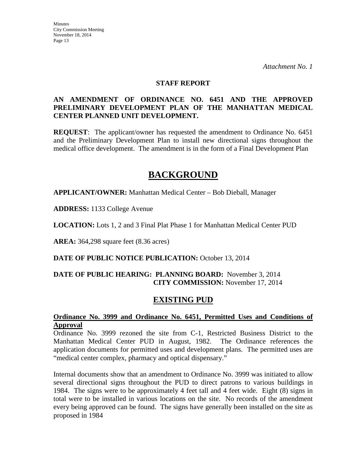#### **STAFF REPORT**

### **AN AMENDMENT OF ORDINANCE NO. 6451 AND THE APPROVED PRELIMINARY DEVELOPMENT PLAN OF THE MANHATTAN MEDICAL CENTER PLANNED UNIT DEVELOPMENT.**

**REQUEST**: The applicant/owner has requested the amendment to Ordinance No. 6451 and the Preliminary Development Plan to install new directional signs throughout the medical office development. The amendment is in the form of a Final Development Plan

## **BACKGROUND**

**APPLICANT/OWNER:** Manhattan Medical Center – Bob Dieball, Manager

**ADDRESS:** 1133 College Avenue

**LOCATION:** Lots 1, 2 and 3 Final Plat Phase 1 for Manhattan Medical Center PUD

**AREA:** 364,298 square feet (8.36 acres)

**DATE OF PUBLIC NOTICE PUBLICATION:** October 13, 2014

### **DATE OF PUBLIC HEARING: PLANNING BOARD:** November 3, 2014 **CITY COMMISSION:** November 17, 2014

### **EXISTING PUD**

### **Ordinance No. 3999 and Ordinance No. 6451, Permitted Uses and Conditions of Approval**

Ordinance No. 3999 rezoned the site from C-1, Restricted Business District to the Manhattan Medical Center PUD in August, 1982. The Ordinance references the application documents for permitted uses and development plans. The permitted uses are "medical center complex, pharmacy and optical dispensary."

Internal documents show that an amendment to Ordinance No. 3999 was initiated to allow several directional signs throughout the PUD to direct patrons to various buildings in 1984. The signs were to be approximately 4 feet tall and 4 feet wide. Eight (8) signs in total were to be installed in various locations on the site. No records of the amendment every being approved can be found. The signs have generally been installed on the site as proposed in 1984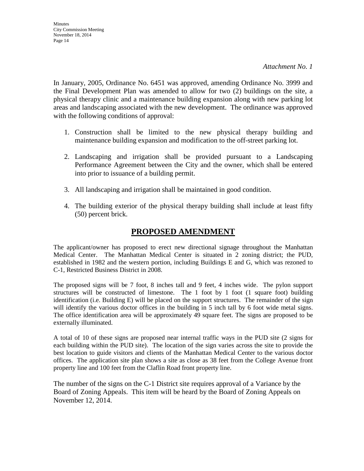**Minutes** City Commission Meeting November 18, 2014 Page 14

In January, 2005, Ordinance No. 6451 was approved, amending Ordinance No. 3999 and the Final Development Plan was amended to allow for two (2) buildings on the site, a physical therapy clinic and a maintenance building expansion along with new parking lot areas and landscaping associated with the new development. The ordinance was approved with the following conditions of approval:

- 1. Construction shall be limited to the new physical therapy building and maintenance building expansion and modification to the off-street parking lot.
- 2. Landscaping and irrigation shall be provided pursuant to a Landscaping Performance Agreement between the City and the owner, which shall be entered into prior to issuance of a building permit.
- 3. All landscaping and irrigation shall be maintained in good condition.
- 4. The building exterior of the physical therapy building shall include at least fifty (50) percent brick.

### **PROPOSED AMENDMENT**

The applicant/owner has proposed to erect new directional signage throughout the Manhattan Medical Center. The Manhattan Medical Center is situated in 2 zoning district; the PUD, established in 1982 and the western portion, including Buildings E and G, which was rezoned to C-1, Restricted Business District in 2008.

The proposed signs will be 7 foot, 8 inches tall and 9 feet, 4 inches wide. The pylon support structures will be constructed of limestone. The 1 foot by 1 foot (1 square foot) building identification (i.e. Building E) will be placed on the support structures. The remainder of the sign will identify the various doctor offices in the building in 5 inch tall by 6 foot wide metal signs. The office identification area will be approximately 49 square feet. The signs are proposed to be externally illuminated.

A total of 10 of these signs are proposed near internal traffic ways in the PUD site (2 signs for each building within the PUD site). The location of the sign varies across the site to provide the best location to guide visitors and clients of the Manhattan Medical Center to the various doctor offices. The application site plan shows a site as close as 38 feet from the College Avenue front property line and 100 feet from the Claflin Road front property line.

The number of the signs on the C-1 District site requires approval of a Variance by the Board of Zoning Appeals. This item will be heard by the Board of Zoning Appeals on November 12, 2014.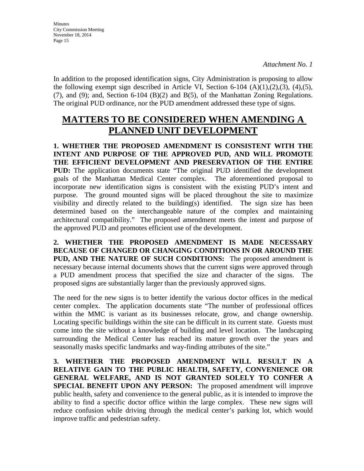In addition to the proposed identification signs, City Administration is proposing to allow the following exempt sign described in Article VI, Section 6-104  $(A)(1),(2),(3),(4),(5)$ , (7), and (9); and, Section 6-104 (B)(2) and B(5), of the Manhattan Zoning Regulations. The original PUD ordinance, nor the PUD amendment addressed these type of signs.

# **MATTERS TO BE CONSIDERED WHEN AMENDING A PLANNED UNIT DEVELOPMENT**

**1. WHETHER THE PROPOSED AMENDMENT IS CONSISTENT WITH THE INTENT AND PURPOSE OF THE APPROVED PUD, AND WILL PROMOTE THE EFFICIENT DEVELOPMENT AND PRESERVATION OF THE ENTIRE PUD:** The application documents state "The original PUD identified the development goals of the Manhattan Medical Center complex. The aforementioned proposal to incorporate new identification signs is consistent with the existing PUD's intent and purpose. The ground mounted signs will be placed throughout the site to maximize visibility and directly related to the building(s) identified. The sign size has been determined based on the interchangeable nature of the complex and maintaining architectural compatibility." The proposed amendment meets the intent and purpose of the approved PUD and promotes efficient use of the development.

**2. WHETHER THE PROPOSED AMENDMENT IS MADE NECESSARY BECAUSE OF CHANGED OR CHANGING CONDITIONS IN OR AROUND THE PUD, AND THE NATURE OF SUCH CONDITIONS:** The proposed amendment is necessary because internal documents shows that the current signs were approved through a PUD amendment process that specified the size and character of the signs. The proposed signs are substantially larger than the previously approved signs.

The need for the new signs is to better identify the various doctor offices in the medical center complex. The application documents state "The number of professional offices within the MMC is variant as its businesses relocate, grow, and change ownership. Locating specific buildings within the site can be difficult in its current state. Guests must come into the site without a knowledge of building and level location. The landscaping surrounding the Medical Center has reached its mature growth over the years and seasonally masks specific landmarks and way-finding attributes of the site."

**3. WHETHER THE PROPOSED AMENDMENT WILL RESULT IN A RELATIVE GAIN TO THE PUBLIC HEALTH, SAFETY, CONVENIENCE OR GENERAL WELFARE, AND IS NOT GRANTED SOLELY TO CONFER A SPECIAL BENEFIT UPON ANY PERSON:** The proposed amendment will improve public health, safety and convenience to the general public, as it is intended to improve the ability to find a specific doctor office within the large complex. These new signs will reduce confusion while driving through the medical center's parking lot, which would improve traffic and pedestrian safety.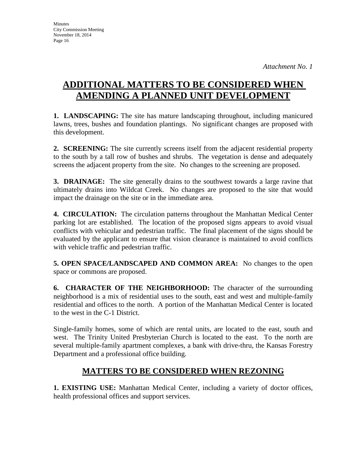# **ADDITIONAL MATTERS TO BE CONSIDERED WHEN AMENDING A PLANNED UNIT DEVELOPMENT**

**1. LANDSCAPING:** The site has mature landscaping throughout, including manicured lawns, trees, bushes and foundation plantings. No significant changes are proposed with this development.

**2. SCREENING:** The site currently screens itself from the adjacent residential property to the south by a tall row of bushes and shrubs. The vegetation is dense and adequately screens the adjacent property from the site. No changes to the screening are proposed.

**3. DRAINAGE:** The site generally drains to the southwest towards a large ravine that ultimately drains into Wildcat Creek. No changes are proposed to the site that would impact the drainage on the site or in the immediate area.

**4. CIRCULATION:** The circulation patterns throughout the Manhattan Medical Center parking lot are established. The location of the proposed signs appears to avoid visual conflicts with vehicular and pedestrian traffic. The final placement of the signs should be evaluated by the applicant to ensure that vision clearance is maintained to avoid conflicts with vehicle traffic and pedestrian traffic.

**5. OPEN SPACE/LANDSCAPED AND COMMON AREA:** No changes to the open space or commons are proposed.

**6. CHARACTER OF THE NEIGHBORHOOD:** The character of the surrounding neighborhood is a mix of residential uses to the south, east and west and multiple-family residential and offices to the north. A portion of the Manhattan Medical Center is located to the west in the C-1 District.

Single-family homes, some of which are rental units, are located to the east, south and west. The Trinity United Presbyterian Church is located to the east. To the north are several multiple-family apartment complexes, a bank with drive-thru, the Kansas Forestry Department and a professional office building.

### **MATTERS TO BE CONSIDERED WHEN REZONING**

**1. EXISTING USE:** Manhattan Medical Center, including a variety of doctor offices, health professional offices and support services.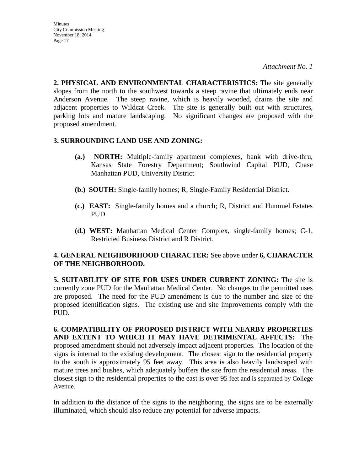**2. PHYSICAL AND ENVIRONMENTAL CHARACTERISTICS:** The site generally slopes from the north to the southwest towards a steep ravine that ultimately ends near Anderson Avenue. The steep ravine, which is heavily wooded, drains the site and adjacent properties to Wildcat Creek. The site is generally built out with structures, parking lots and mature landscaping. No significant changes are proposed with the proposed amendment.

### **3. SURROUNDING LAND USE AND ZONING:**

- **(a.) NORTH:** Multiple-family apartment complexes, bank with drive-thru, Kansas State Forestry Department; Southwind Capital PUD, Chase Manhattan PUD, University District
- **(b.) SOUTH:** Single-family homes; R, Single-Family Residential District.
- **(c.) EAST:** Single-family homes and a church; R, District and Hummel Estates PUD
- **(d.) WEST:** Manhattan Medical Center Complex, single-family homes; C-1, Restricted Business District and R District.

### **4. GENERAL NEIGHBORHOOD CHARACTER:** See above under **6, CHARACTER OF THE NEIGHBORHOOD.**

**5. SUITABILITY OF SITE FOR USES UNDER CURRENT ZONING:** The site is currently zone PUD for the Manhattan Medical Center. No changes to the permitted uses are proposed. The need for the PUD amendment is due to the number and size of the proposed identification signs. The existing use and site improvements comply with the PUD.

**6. COMPATIBILITY OF PROPOSED DISTRICT WITH NEARBY PROPERTIES AND EXTENT TO WHICH IT MAY HAVE DETRIMENTAL AFFECTS:** The proposed amendment should not adversely impact adjacent properties. The location of the signs is internal to the existing development. The closest sign to the residential property to the south is approximately 95 feet away. This area is also heavily landscaped with mature trees and bushes, which adequately buffers the site from the residential areas. The closest sign to the residential properties to the east is over 95 feet and is separated by College Avenue.

In addition to the distance of the signs to the neighboring, the signs are to be externally illuminated, which should also reduce any potential for adverse impacts.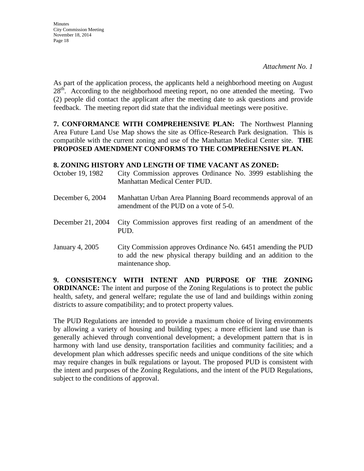As part of the application process, the applicants held a neighborhood meeting on August 28<sup>th</sup>. According to the neighborhood meeting report, no one attended the meeting. Two (2) people did contact the applicant after the meeting date to ask questions and provide feedback. The meeting report did state that the individual meetings were positive.

**7. CONFORMANCE WITH COMPREHENSIVE PLAN:** The Northwest Planning Area Future Land Use Map shows the site as Office-Research Park designation. This is compatible with the current zoning and use of the Manhattan Medical Center site. **THE PROPOSED AMENDMENT CONFORMS TO THE COMPREHENSIVE PLAN.**

### **8. ZONING HISTORY AND LENGTH OF TIME VACANT AS ZONED:**

| October 19, 1982  | City Commission approves Ordinance No. 3999 establishing the<br>Manhattan Medical Center PUD.                                                        |
|-------------------|------------------------------------------------------------------------------------------------------------------------------------------------------|
| December 6, 2004  | Manhattan Urban Area Planning Board recommends approval of an<br>amendment of the PUD on a vote of 5-0.                                              |
| December 21, 2004 | City Commission approves first reading of an amendment of the<br>PUD.                                                                                |
| January 4, 2005   | City Commission approves Ordinance No. 6451 amending the PUD<br>to add the new physical therapy building and an addition to the<br>maintenance shop. |

**9. CONSISTENCY WITH INTENT AND PURPOSE OF THE ZONING ORDINANCE:** The intent and purpose of the Zoning Regulations is to protect the public health, safety, and general welfare; regulate the use of land and buildings within zoning districts to assure compatibility; and to protect property values.

The PUD Regulations are intended to provide a maximum choice of living environments by allowing a variety of housing and building types; a more efficient land use than is generally achieved through conventional development; a development pattern that is in harmony with land use density, transportation facilities and community facilities; and a development plan which addresses specific needs and unique conditions of the site which may require changes in bulk regulations or layout. The proposed PUD is consistent with the intent and purposes of the Zoning Regulations, and the intent of the PUD Regulations, subject to the conditions of approval.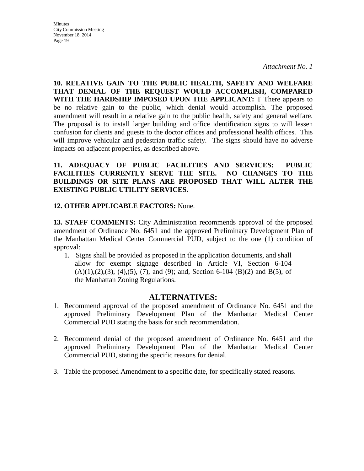**Minutes** City Commission Meeting November 18, 2014 Page 19

**10. RELATIVE GAIN TO THE PUBLIC HEALTH, SAFETY AND WELFARE THAT DENIAL OF THE REQUEST WOULD ACCOMPLISH, COMPARED WITH THE HARDSHIP IMPOSED UPON THE APPLICANT:** T There appears to be no relative gain to the public, which denial would accomplish. The proposed amendment will result in a relative gain to the public health, safety and general welfare. The proposal is to install larger building and office identification signs to will lessen confusion for clients and guests to the doctor offices and professional health offices. This will improve vehicular and pedestrian traffic safety. The signs should have no adverse impacts on adjacent properties, as described above.

**11. ADEQUACY OF PUBLIC FACILITIES AND SERVICES: PUBLIC FACILITIES CURRENTLY SERVE THE SITE. NO CHANGES TO THE BUILDINGS OR SITE PLANS ARE PROPOSED THAT WILL ALTER THE EXISTING PUBLIC UTILITY SERVICES.**

### **12. OTHER APPLICABLE FACTORS:** None.

**13. STAFF COMMENTS:** City Administration recommends approval of the proposed amendment of Ordinance No. 6451 and the approved Preliminary Development Plan of the Manhattan Medical Center Commercial PUD, subject to the one (1) condition of approval:

1. Signs shall be provided as proposed in the application documents, and shall allow for exempt signage described in Article VI, Section 6-104  $(A)(1),(2),(3), (4),(5), (7),$  and  $(9)$ ; and, Section 6-104  $(B)(2)$  and  $B(5)$ , of the Manhattan Zoning Regulations.

### **ALTERNATIVES:**

- 1. Recommend approval of the proposed amendment of Ordinance No. 6451 and the approved Preliminary Development Plan of the Manhattan Medical Center Commercial PUD stating the basis for such recommendation.
- 2. Recommend denial of the proposed amendment of Ordinance No. 6451 and the approved Preliminary Development Plan of the Manhattan Medical Center Commercial PUD, stating the specific reasons for denial.
- 3. Table the proposed Amendment to a specific date, for specifically stated reasons.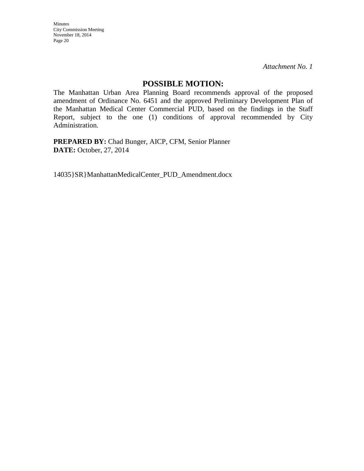*Attachment No. 1*

### **POSSIBLE MOTION:**

The Manhattan Urban Area Planning Board recommends approval of the proposed amendment of Ordinance No. 6451 and the approved Preliminary Development Plan of the Manhattan Medical Center Commercial PUD, based on the findings in the Staff Report, subject to the one (1) conditions of approval recommended by City Administration.

**PREPARED BY:** Chad Bunger, AICP, CFM, Senior Planner **DATE:** October, 27, 2014

14035}SR}ManhattanMedicalCenter\_PUD\_Amendment.docx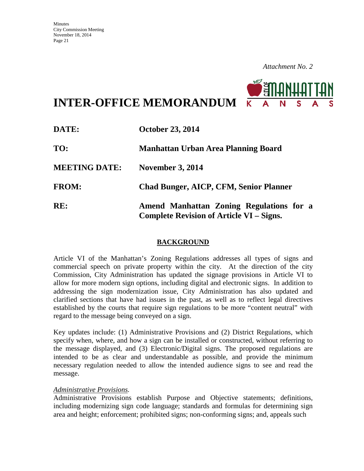

**INTER-OFFICE MEMORANDUM**

| DATE:                | <b>October 23, 2014</b>                                                                     |  |
|----------------------|---------------------------------------------------------------------------------------------|--|
| TO:                  | <b>Manhattan Urban Area Planning Board</b>                                                  |  |
| <b>MEETING DATE:</b> | <b>November 3, 2014</b>                                                                     |  |
| <b>FROM:</b>         | <b>Chad Bunger, AICP, CFM, Senior Planner</b>                                               |  |
| RE:                  | Amend Manhattan Zoning Regulations for a<br><b>Complete Revision of Article VI – Signs.</b> |  |

### **BACKGROUND**

Article VI of the Manhattan's Zoning Regulations addresses all types of signs and commercial speech on private property within the city. At the direction of the city Commission, City Administration has updated the signage provisions in Article VI to allow for more modern sign options, including digital and electronic signs. In addition to addressing the sign modernization issue, City Administration has also updated and clarified sections that have had issues in the past, as well as to reflect legal directives established by the courts that require sign regulations to be more "content neutral" with regard to the message being conveyed on a sign.

Key updates include: (1) Administrative Provisions and (2) District Regulations, which specify when, where, and how a sign can be installed or constructed, without referring to the message displayed, and (3) Electronic/Digital signs. The proposed regulations are intended to be as clear and understandable as possible, and provide the minimum necessary regulation needed to allow the intended audience signs to see and read the message.

#### *Administrative Provisions.*

Administrative Provisions establish Purpose and Objective statements; definitions, including modernizing sign code language; standards and formulas for determining sign area and height; enforcement; prohibited signs; non-conforming signs; and, appeals such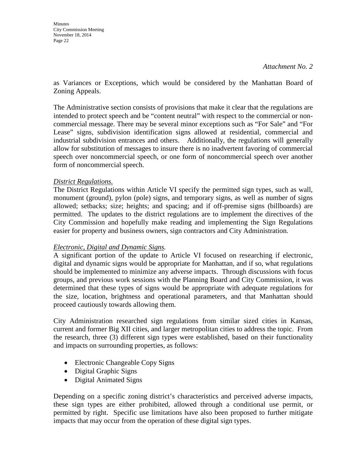as Variances or Exceptions, which would be considered by the Manhattan Board of Zoning Appeals.

The Administrative section consists of provisions that make it clear that the regulations are intended to protect speech and be "content neutral" with respect to the commercial or noncommercial message. There may be several minor exceptions such as "For Sale" and "For Lease" signs, subdivision identification signs allowed at residential, commercial and industrial subdivision entrances and others. Additionally, the regulations will generally allow for substitution of messages to insure there is no inadvertent favoring of commercial speech over noncommercial speech, or one form of noncommercial speech over another form of noncommercial speech.

### *District Regulations.*

The District Regulations within Article VI specify the permitted sign types, such as wall, monument (ground), pylon (pole) signs, and temporary signs, as well as number of signs allowed; setbacks; size; heights; and spacing; and if off-premise signs (billboards) are permitted. The updates to the district regulations are to implement the directives of the City Commission and hopefully make reading and implementing the Sign Regulations easier for property and business owners, sign contractors and City Administration.

### *Electronic, Digital and Dynamic Signs.*

A significant portion of the update to Article VI focused on researching if electronic, digital and dynamic signs would be appropriate for Manhattan, and if so, what regulations should be implemented to minimize any adverse impacts. Through discussions with focus groups, and previous work sessions with the Planning Board and City Commission, it was determined that these types of signs would be appropriate with adequate regulations for the size, location, brightness and operational parameters, and that Manhattan should proceed cautiously towards allowing them.

City Administration researched sign regulations from similar sized cities in Kansas, current and former Big XII cities, and larger metropolitan cities to address the topic. From the research, three (3) different sign types were established, based on their functionality and impacts on surrounding properties, as follows:

- Electronic Changeable Copy Signs
- Digital Graphic Signs
- Digital Animated Signs

Depending on a specific zoning district's characteristics and perceived adverse impacts, these sign types are either prohibited, allowed through a conditional use permit, or permitted by right. Specific use limitations have also been proposed to further mitigate impacts that may occur from the operation of these digital sign types.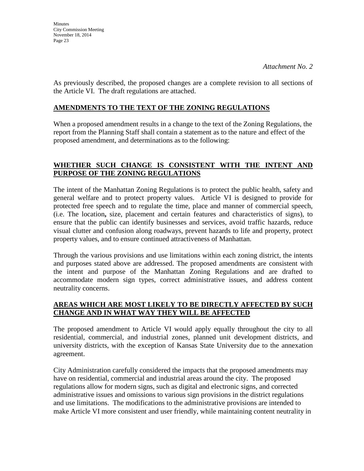As previously described, the proposed changes are a complete revision to all sections of the Article VI. The draft regulations are attached.

### **AMENDMENTS TO THE TEXT OF THE ZONING REGULATIONS**

When a proposed amendment results in a change to the text of the Zoning Regulations, the report from the Planning Staff shall contain a statement as to the nature and effect of the proposed amendment, and determinations as to the following:

### **WHETHER SUCH CHANGE IS CONSISTENT WITH THE INTENT AND PURPOSE OF THE ZONING REGULATIONS**

The intent of the Manhattan Zoning Regulations is to protect the public health, safety and general welfare and to protect property values. Article VI is designed to provide for protected free speech and to regulate the time, place and manner of commercial speech, (i.e. The location**,** size, placement and certain features and characteristics of signs), to ensure that the public can identify businesses and services, avoid traffic hazards, reduce visual clutter and confusion along roadways, prevent hazards to life and property, protect property values, and to ensure continued attractiveness of Manhattan.

Through the various provisions and use limitations within each zoning district, the intents and purposes stated above are addressed. The proposed amendments are consistent with the intent and purpose of the Manhattan Zoning Regulations and are drafted to accommodate modern sign types, correct administrative issues, and address content neutrality concerns.

### **AREAS WHICH ARE MOST LIKELY TO BE DIRECTLY AFFECTED BY SUCH CHANGE AND IN WHAT WAY THEY WILL BE AFFECTED**

The proposed amendment to Article VI would apply equally throughout the city to all residential, commercial, and industrial zones, planned unit development districts, and university districts, with the exception of Kansas State University due to the annexation agreement.

City Administration carefully considered the impacts that the proposed amendments may have on residential, commercial and industrial areas around the city. The proposed regulations allow for modern signs, such as digital and electronic signs, and corrected administrative issues and omissions to various sign provisions in the district regulations and use limitations. The modifications to the administrative provisions are intended to make Article VI more consistent and user friendly, while maintaining content neutrality in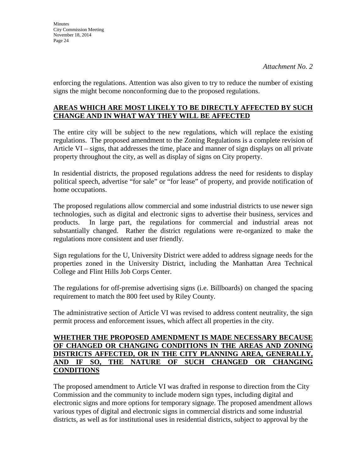enforcing the regulations. Attention was also given to try to reduce the number of existing signs the might become nonconforming due to the proposed regulations.

### **AREAS WHICH ARE MOST LIKELY TO BE DIRECTLY AFFECTED BY SUCH CHANGE AND IN WHAT WAY THEY WILL BE AFFECTED**

The entire city will be subject to the new regulations, which will replace the existing regulations. The proposed amendment to the Zoning Regulations is a complete revision of Article VI – signs, that addresses the time, place and manner of sign displays on all private property throughout the city, as well as display of signs on City property.

In residential districts, the proposed regulations address the need for residents to display political speech, advertise "for sale" or "for lease" of property, and provide notification of home occupations.

The proposed regulations allow commercial and some industrial districts to use newer sign technologies, such as digital and electronic signs to advertise their business, services and products. In large part, the regulations for commercial and industrial areas not substantially changed. Rather the district regulations were re-organized to make the regulations more consistent and user friendly.

Sign regulations for the U, University District were added to address signage needs for the properties zoned in the University District, including the Manhattan Area Technical College and Flint Hills Job Corps Center.

The regulations for off-premise advertising signs (i.e. Billboards) on changed the spacing requirement to match the 800 feet used by Riley County.

The administrative section of Article VI was revised to address content neutrality, the sign permit process and enforcement issues, which affect all properties in the city.

### **WHETHER THE PROPOSED AMENDMENT IS MADE NECESSARY BECAUSE OF CHANGED OR CHANGING CONDITIONS IN THE AREAS AND ZONING DISTRICTS AFFECTED, OR IN THE CITY PLANNING AREA, GENERALLY, AND IF SO, THE NATURE OF SUCH CHANGED OR CHANGING CONDITIONS**

The proposed amendment to Article VI was drafted in response to direction from the City Commission and the community to include modern sign types, including digital and electronic signs and more options for temporary signage. The proposed amendment allows various types of digital and electronic signs in commercial districts and some industrial districts, as well as for institutional uses in residential districts, subject to approval by the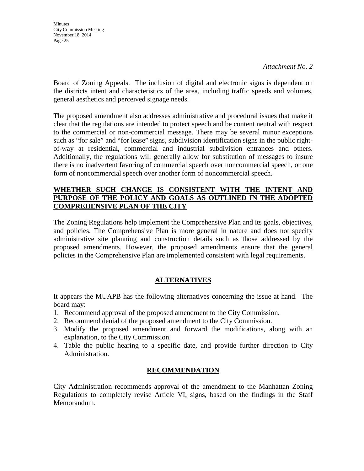Board of Zoning Appeals. The inclusion of digital and electronic signs is dependent on the districts intent and characteristics of the area, including traffic speeds and volumes, general aesthetics and perceived signage needs.

The proposed amendment also addresses administrative and procedural issues that make it clear that the regulations are intended to protect speech and be content neutral with respect to the commercial or non-commercial message. There may be several minor exceptions such as "for sale" and "for lease" signs, subdivision identification signs in the public rightof-way at residential, commercial and industrial subdivision entrances and others. Additionally, the regulations will generally allow for substitution of messages to insure there is no inadvertent favoring of commercial speech over noncommercial speech, or one form of noncommercial speech over another form of noncommercial speech.

### **WHETHER SUCH CHANGE IS CONSISTENT WITH THE INTENT AND PURPOSE OF THE POLICY AND GOALS AS OUTLINED IN THE ADOPTED COMPREHENSIVE PLAN OF THE CITY**

The Zoning Regulations help implement the Comprehensive Plan and its goals, objectives, and policies. The Comprehensive Plan is more general in nature and does not specify administrative site planning and construction details such as those addressed by the proposed amendments. However, the proposed amendments ensure that the general policies in the Comprehensive Plan are implemented consistent with legal requirements.

### **ALTERNATIVES**

It appears the MUAPB has the following alternatives concerning the issue at hand. The board may:

- 1. Recommend approval of the proposed amendment to the City Commission.
- 2. Recommend denial of the proposed amendment to the City Commission.
- 3. Modify the proposed amendment and forward the modifications, along with an explanation, to the City Commission.
- 4. Table the public hearing to a specific date, and provide further direction to City Administration.

### **RECOMMENDATION**

City Administration recommends approval of the amendment to the Manhattan Zoning Regulations to completely revise Article VI, signs, based on the findings in the Staff Memorandum.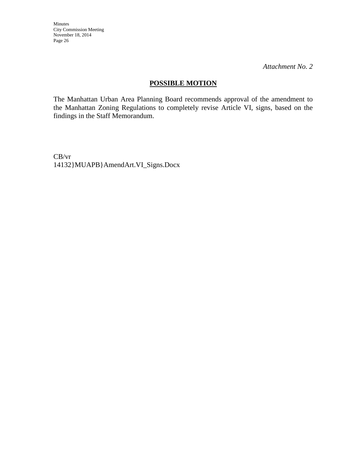*Attachment No. 2*

### **POSSIBLE MOTION**

The Manhattan Urban Area Planning Board recommends approval of the amendment to the Manhattan Zoning Regulations to completely revise Article VI, signs, based on the findings in the Staff Memorandum.

CB/vr 14132}MUAPB}AmendArt.VI\_Signs.Docx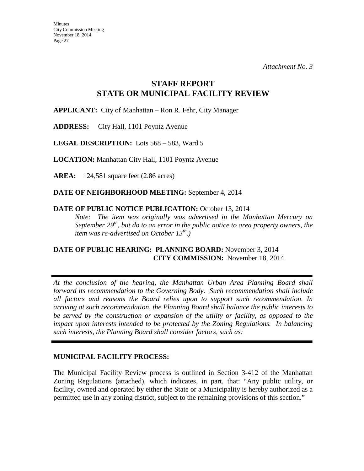### **STAFF REPORT STATE OR MUNICIPAL FACILITY REVIEW**

**APPLICANT:** City of Manhattan – Ron R. Fehr, City Manager

**ADDRESS:** City Hall, 1101 Poyntz Avenue

**LEGAL DESCRIPTION:** Lots 568 – 583, Ward 5

**LOCATION:** Manhattan City Hall, 1101 Poyntz Avenue

**AREA:** 124,581 square feet (2.86 acres)

**DATE OF NEIGHBORHOOD MEETING:** September 4, 2014

### DATE OF PUBLIC NOTICE PUBLICATION: October 13, 2014

*Note: The item was originally was advertised in the Manhattan Mercury on September 29<sup>th</sup>, but do to an error in the public notice to area property owners, the item was re-advertised on October 13th.)* 

### **DATE OF PUBLIC HEARING: PLANNING BOARD:** November 3, 2014 **CITY COMMISSION:** November 18, 2014

*At the conclusion of the hearing, the Manhattan Urban Area Planning Board shall forward its recommendation to the Governing Body. Such recommendation shall include all factors and reasons the Board relies upon to support such recommendation. In arriving at such recommendation, the Planning Board shall balance the public interests to be served by the construction or expansion of the utility or facility, as opposed to the impact upon interests intended to be protected by the Zoning Regulations. In balancing such interests, the Planning Board shall consider factors, such as:* 

### **MUNICIPAL FACILITY PROCESS:**

The Municipal Facility Review process is outlined in Section 3-412 of the Manhattan Zoning Regulations (attached), which indicates, in part, that: "Any public utility, or facility, owned and operated by either the State or a Municipality is hereby authorized as a permitted use in any zoning district, subject to the remaining provisions of this section."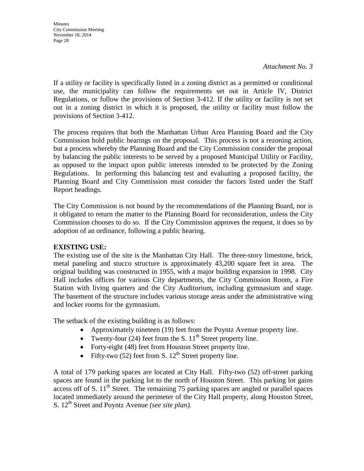If a utility or facility is specifically listed in a zoning district as a permitted or conditional use, the municipality can follow the requirements set out in Article IV, District Regulations, or follow the provisions of Section 3-412. If the utility or facility is not set out in a zoning district in which it is proposed, the utility or facility must follow the provisions of Section 3-412.

The process requires that both the Manhattan Urban Area Planning Board and the City Commission hold public hearings on the proposal. This process is not a rezoning action, but a process whereby the Planning Board and the City Commission consider the proposal by balancing the public interests to be served by a proposed Municipal Utility or Facility, as opposed to the impact upon public interests intended to be protected by the Zoning Regulations. In performing this balancing test and evaluating a proposed facility, the Planning Board and City Commission must consider the factors listed under the Staff Report headings.

The City Commission is not bound by the recommendations of the Planning Board, nor is it obligated to return the matter to the Planning Board for reconsideration, unless the City Commission chooses to do so. If the City Commission approves the request, it does so by adoption of an ordinance, following a public hearing.

### **EXISTING USE:**

The existing use of the site is the Manhattan City Hall. The three-story limestone, brick, metal paneling and stucco structure is approximately 43,200 square feet in area. The original building was constructed in 1955, with a major building expansion in 1998. City Hall includes offices for various City departments, the City Commission Room, a Fire Station with living quarters and the City Auditorium, including gymnasium and stage. The basement of the structure includes various storage areas under the administrative wing and locker rooms for the gymnasium.

The setback of the existing building is as follows:

- Approximately nineteen (19) feet from the Poyntz Avenue property line.
- Twenty-four (24) feet from the S.  $11<sup>th</sup>$  Street property line.
- Forty-eight (48) feet from Houston Street property line.
- Fifty-two  $(52)$  feet from S.  $12<sup>th</sup>$  Street property line.

A total of 179 parking spaces are located at City Hall. Fifty-two (52) off-street parking spaces are found in the parking lot to the north of Houston Street. This parking lot gains access off of S.  $11<sup>th</sup>$  Street. The remaining 75 parking spaces are angled or parallel spaces located immediately around the perimeter of the City Hall property, along Houston Street, S. 12th Street and Poyntz Avenue *(see site plan).*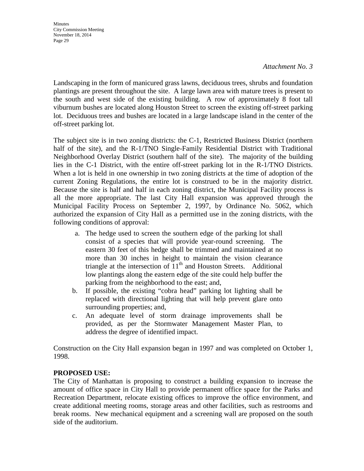#### *Attachment No. 3*

Landscaping in the form of manicured grass lawns, deciduous trees, shrubs and foundation plantings are present throughout the site. A large lawn area with mature trees is present to the south and west side of the existing building. A row of approximately 8 foot tall viburnum bushes are located along Houston Street to screen the existing off-street parking lot. Deciduous trees and bushes are located in a large landscape island in the center of the off-street parking lot.

The subject site is in two zoning districts: the C-1, Restricted Business District (northern half of the site), and the R-1/TNO Single-Family Residential District with Traditional Neighborhood Overlay District (southern half of the site). The majority of the building lies in the C-1 District, with the entire off-street parking lot in the R-1/TNO Districts. When a lot is held in one ownership in two zoning districts at the time of adoption of the current Zoning Regulations, the entire lot is construed to be in the majority district. Because the site is half and half in each zoning district, the Municipal Facility process is all the more appropriate. The last City Hall expansion was approved through the Municipal Facility Process on September 2, 1997, by Ordinance No. 5062, which authorized the expansion of City Hall as a permitted use in the zoning districts, with the following conditions of approval:

- a. The hedge used to screen the southern edge of the parking lot shall consist of a species that will provide year-round screening. The eastern 30 feet of this hedge shall be trimmed and maintained at no more than 30 inches in height to maintain the vision clearance triangle at the intersection of  $11<sup>th</sup>$  and Houston Streets. Additional low plantings along the eastern edge of the site could help buffer the parking from the neighborhood to the east; and,
- b. If possible, the existing "cobra head" parking lot lighting shall be replaced with directional lighting that will help prevent glare onto surrounding properties; and,
- c. An adequate level of storm drainage improvements shall be provided, as per the Stormwater Management Master Plan, to address the degree of identified impact.

Construction on the City Hall expansion began in 1997 and was completed on October 1, 1998.

### **PROPOSED USE:**

The City of Manhattan is proposing to construct a building expansion to increase the amount of office space in City Hall to provide permanent office space for the Parks and Recreation Department, relocate existing offices to improve the office environment, and create additional meeting rooms, storage areas and other facilities, such as restrooms and break rooms. New mechanical equipment and a screening wall are proposed on the south side of the auditorium.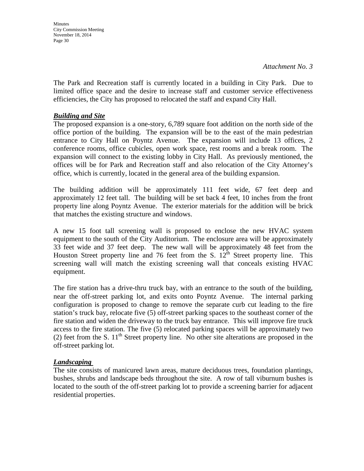**Minutes** City Commission Meeting November 18, 2014 Page 30

The Park and Recreation staff is currently located in a building in City Park. Due to limited office space and the desire to increase staff and customer service effectiveness efficiencies, the City has proposed to relocated the staff and expand City Hall.

#### *Building and Site*

The proposed expansion is a one-story, 6,789 square foot addition on the north side of the office portion of the building. The expansion will be to the east of the main pedestrian entrance to City Hall on Poyntz Avenue. The expansion will include 13 offices, 2 conference rooms, office cubicles, open work space, rest rooms and a break room. The expansion will connect to the existing lobby in City Hall. As previously mentioned, the offices will be for Park and Recreation staff and also relocation of the City Attorney's office, which is currently, located in the general area of the building expansion.

The building addition will be approximately 111 feet wide, 67 feet deep and approximately 12 feet tall. The building will be set back 4 feet, 10 inches from the front property line along Poyntz Avenue. The exterior materials for the addition will be brick that matches the existing structure and windows.

A new 15 foot tall screening wall is proposed to enclose the new HVAC system equipment to the south of the City Auditorium. The enclosure area will be approximately 33 feet wide and 37 feet deep. The new wall will be approximately 48 feet from the Houston Street property line and 76 feet from the S.  $12^{\text{th}}$  Street property line. This screening wall will match the existing screening wall that conceals existing HVAC equipment.

The fire station has a drive-thru truck bay, with an entrance to the south of the building, near the off-street parking lot, and exits onto Poyntz Avenue. The internal parking configuration is proposed to change to remove the separate curb cut leading to the fire station's truck bay, relocate five (5) off-street parking spaces to the southeast corner of the fire station and widen the driveway to the truck bay entrance. This will improve fire truck access to the fire station. The five (5) relocated parking spaces will be approximately two (2) feet from the S.  $11<sup>th</sup>$  Street property line. No other site alterations are proposed in the off-street parking lot.

#### *Landscaping*

The site consists of manicured lawn areas, mature deciduous trees, foundation plantings, bushes, shrubs and landscape beds throughout the site. A row of tall viburnum bushes is located to the south of the off-street parking lot to provide a screening barrier for adjacent residential properties.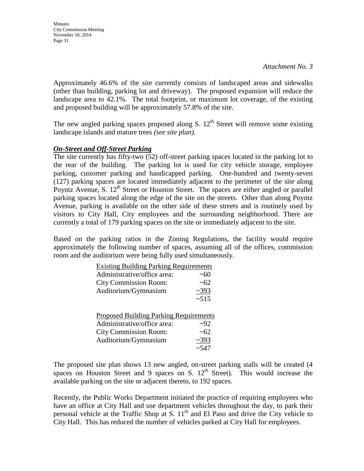**Minutes** City Commission Meeting November 18, 2014 Page 31

Approximately 46.6% of the site currently consists of landscaped areas and sidewalks (other than building, parking lot and driveway). The proposed expansion will reduce the landscape area to 42.1%. The total footprint, or maximum lot coverage, of the existing and proposed building will be approximately 57.8% of the site.

The new angled parking spaces proposed along S.  $12<sup>th</sup>$  Street will remove some existing landscape islands and mature trees *(see site plan).*

### *On-Street and Off-Street Parking*

The site currently has fifty-two (52) off-street parking spaces located in the parking lot to the rear of the building. The parking lot is used for city vehicle storage, employee parking, customer parking and handicapped parking. One-hundred and twenty-seven (127) parking spaces are located immediately adjacent to the perimeter of the site along Poyntz Avenue, S.  $12<sup>th</sup>$  Street or Houston Street. The spaces are either angled or parallel parking spaces located along the edge of the site on the streets. Other than along Poyntz Avenue, parking is available on the other side of these streets and is routinely used by visitors to City Hall, City employees and the surrounding neighborhood. There are currently a total of 179 parking spaces on the site or immediately adjacent to the site.

Based on the parking ratios in the Zoning Regulations, the facility would require approximately the following number of spaces, assuming all of the offices, commission room and the auditorium were being fully used simultaneously.

| <b>Existing Building Parking Requirements</b> |            |  |  |
|-----------------------------------------------|------------|--|--|
| Administrative/office area:                   | ~100       |  |  |
| <b>City Commission Room:</b>                  | ~62        |  |  |
| Auditorium/Gymnasium                          | ~2393      |  |  |
|                                               | ~15        |  |  |
|                                               |            |  |  |
| <b>Proposed Building Parking Requirements</b> |            |  |  |
| Administrative/office area:                   | 292        |  |  |
| <b>City Commission Room:</b>                  | ~62        |  |  |
| Auditorium/Gymnasium                          | ~2393      |  |  |
|                                               | $~1 - 547$ |  |  |

The proposed site plan shows 13 new angled, on-street parking stalls will be created (4 spaces on Houston Street and 9 spaces on S.  $12<sup>th</sup>$  Street). This would increase the available parking on the site or adjacent thereto, to 192 spaces.

Recently, the Public Works Department initiated the practice of requiring employees who have an office at City Hall and use department vehicles throughout the day, to park their personal vehicle at the Traffic Shop at S.  $11<sup>th</sup>$  and El Paso and drive the City vehicle to City Hall. This has reduced the number of vehicles parked at City Hall for employees.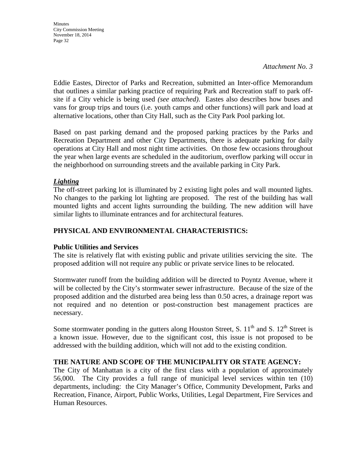*Attachment No. 3*

Eddie Eastes, Director of Parks and Recreation, submitted an Inter-office Memorandum that outlines a similar parking practice of requiring Park and Recreation staff to park offsite if a City vehicle is being used *(see attached)*. Eastes also describes how buses and vans for group trips and tours (i.e. youth camps and other functions) will park and load at alternative locations, other than City Hall, such as the City Park Pool parking lot.

Based on past parking demand and the proposed parking practices by the Parks and Recreation Department and other City Departments, there is adequate parking for daily operations at City Hall and most night time activities. On those few occasions throughout the year when large events are scheduled in the auditorium, overflow parking will occur in the neighborhood on surrounding streets and the available parking in City Park.

### *Lighting*

The off-street parking lot is illuminated by 2 existing light poles and wall mounted lights. No changes to the parking lot lighting are proposed. The rest of the building has wall mounted lights and accent lights surrounding the building. The new addition will have similar lights to illuminate entrances and for architectural features.

### **PHYSICAL AND ENVIRONMENTAL CHARACTERISTICS:**

### **Public Utilities and Services**

The site is relatively flat with existing public and private utilities servicing the site. The proposed addition will not require any public or private service lines to be relocated.

Stormwater runoff from the building addition will be directed to Poyntz Avenue, where it will be collected by the City's stormwater sewer infrastructure. Because of the size of the proposed addition and the disturbed area being less than 0.50 acres, a drainage report was not required and no detention or post-construction best management practices are necessary.

Some stormwater ponding in the gutters along Houston Street, S.  $11<sup>th</sup>$  and S.  $12<sup>th</sup>$  Street is a known issue. However, due to the significant cost, this issue is not proposed to be addressed with the building addition, which will not add to the existing condition.

### **THE NATURE AND SCOPE OF THE MUNICIPALITY OR STATE AGENCY:**

The City of Manhattan is a city of the first class with a population of approximately 56,000. The City provides a full range of municipal level services within ten (10) departments, including: the City Manager's Office, Community Development, Parks and Recreation, Finance, Airport, Public Works, Utilities, Legal Department, Fire Services and Human Resources.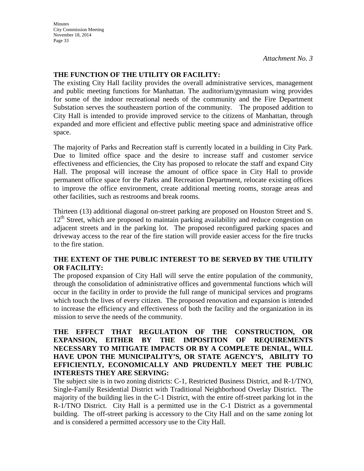*Attachment No. 3*

### **THE FUNCTION OF THE UTILITY OR FACILITY:**

The existing City Hall facility provides the overall administrative services, management and public meeting functions for Manhattan. The auditorium/gymnasium wing provides for some of the indoor recreational needs of the community and the Fire Department Substation serves the southeastern portion of the community. The proposed addition to City Hall is intended to provide improved service to the citizens of Manhattan, through expanded and more efficient and effective public meeting space and administrative office space.

The majority of Parks and Recreation staff is currently located in a building in City Park. Due to limited office space and the desire to increase staff and customer service effectiveness and efficiencies, the City has proposed to relocate the staff and expand City Hall. The proposal will increase the amount of office space in City Hall to provide permanent office space for the Parks and Recreation Department, relocate existing offices to improve the office environment, create additional meeting rooms, storage areas and other facilities, such as restrooms and break rooms.

Thirteen (13) additional diagonal on-street parking are proposed on Houston Street and S. 12<sup>th</sup> Street, which are proposed to maintain parking availability and reduce congestion on adjacent streets and in the parking lot. The proposed reconfigured parking spaces and driveway access to the rear of the fire station will provide easier access for the fire trucks to the fire station.

### **THE EXTENT OF THE PUBLIC INTEREST TO BE SERVED BY THE UTILITY OR FACILITY:**

The proposed expansion of City Hall will serve the entire population of the community, through the consolidation of administrative offices and governmental functions which will occur in the facility in order to provide the full range of municipal services and programs which touch the lives of every citizen. The proposed renovation and expansion is intended to increase the efficiency and effectiveness of both the facility and the organization in its mission to serve the needs of the community.

### **THE EFFECT THAT REGULATION OF THE CONSTRUCTION, OR EXPANSION, EITHER BY THE IMPOSITION OF REQUIREMENTS NECESSARY TO MITIGATE IMPACTS OR BY A COMPLETE DENIAL, WILL HAVE UPON THE MUNICIPALITY'S, OR STATE AGENCY'S, ABILITY TO EFFICIENTLY, ECONOMICALLY AND PRUDENTLY MEET THE PUBLIC INTERESTS THEY ARE SERVING:**

The subject site is in two zoning districts: C-1, Restricted Business District, and R-1/TNO, Single-Family Residential District with Traditional Neighborhood Overlay District. The majority of the building lies in the C-1 District, with the entire off-street parking lot in the R-1/TNO District. City Hall is a permitted use in the C-1 District as a governmental building. The off-street parking is accessory to the City Hall and on the same zoning lot and is considered a permitted accessory use to the City Hall.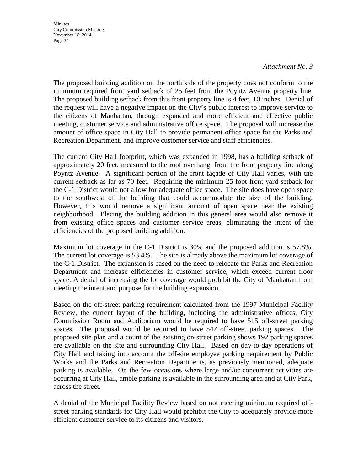#### *Attachment No. 3*

The proposed building addition on the north side of the property does not conform to the minimum required front yard setback of 25 feet from the Poyntz Avenue property line. The proposed building setback from this front property line is 4 feet, 10 inches. Denial of the request will have a negative impact on the City's public interest to improve service to the citizens of Manhattan, through expanded and more efficient and effective public meeting, customer service and administrative office space. The proposal will increase the amount of office space in City Hall to provide permanent office space for the Parks and Recreation Department, and improve customer service and staff efficiencies.

The current City Hall footprint, which was expanded in 1998, has a building setback of approximately 20 feet, measured to the roof overhang, from the front property line along Poyntz Avenue. A significant portion of the front façade of City Hall varies, with the current setback as far as 70 feet. Requiring the minimum 25 foot front yard setback for the C-1 District would not allow for adequate office space. The site does have open space to the southwest of the building that could accommodate the size of the building. However, this would remove a significant amount of open space near the existing neighborhood. Placing the building addition in this general area would also remove it from existing office spaces and customer service areas, eliminating the intent of the efficiencies of the proposed building addition.

Maximum lot coverage in the C-1 District is 30% and the proposed addition is 57.8%. The current lot coverage is 53.4%. The site is already above the maximum lot coverage of the C-1 District. The expansion is based on the need to relocate the Parks and Recreation Department and increase efficiencies in customer service, which exceed current floor space. A denial of increasing the lot coverage would prohibit the City of Manhattan from meeting the intent and purpose for the building expansion.

Based on the off-street parking requirement calculated from the 1997 Municipal Facility Review, the current layout of the building, including the administrative offices, City Commission Room and Auditorium would be required to have 515 off-street parking spaces. The proposal would be required to have 547 off-street parking spaces. The proposed site plan and a count of the existing on-street parking shows 192 parking spaces are available on the site and surrounding City Hall. Based on day-to-day operations of City Hall and taking into account the off-site employee parking requirement by Public Works and the Parks and Recreation Departments, as previously mentioned, adequate parking is available. On the few occasions where large and/or concurrent activities are occurring at City Hall, amble parking is available in the surrounding area and at City Park, across the street.

A denial of the Municipal Facility Review based on not meeting minimum required offstreet parking standards for City Hall would prohibit the City to adequately provide more efficient customer service to its citizens and visitors.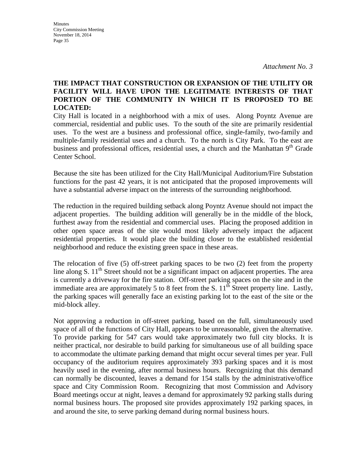### **THE IMPACT THAT CONSTRUCTION OR EXPANSION OF THE UTILITY OR FACILITY WILL HAVE UPON THE LEGITIMATE INTERESTS OF THAT PORTION OF THE COMMUNITY IN WHICH IT IS PROPOSED TO BE LOCATED:**

City Hall is located in a neighborhood with a mix of uses. Along Poyntz Avenue are commercial, residential and public uses. To the south of the site are primarily residential uses. To the west are a business and professional office, single-family, two-family and multiple-family residential uses and a church. To the north is City Park. To the east are business and professional offices, residential uses, a church and the Manhattan 9<sup>th</sup> Grade Center School.

Because the site has been utilized for the City Hall/Municipal Auditorium/Fire Substation functions for the past 42 years, it is not anticipated that the proposed improvements will have a substantial adverse impact on the interests of the surrounding neighborhood.

The reduction in the required building setback along Poyntz Avenue should not impact the adjacent properties. The building addition will generally be in the middle of the block, furthest away from the residential and commercial uses. Placing the proposed addition in other open space areas of the site would most likely adversely impact the adjacent residential properties. It would place the building closer to the established residential neighborhood and reduce the existing green space in these areas.

The relocation of five (5) off-street parking spaces to be two (2) feet from the property line along S.  $11<sup>th</sup>$  Street should not be a significant impact on adjacent properties. The area is currently a driveway for the fire station. Off-street parking spaces on the site and in the immediate area are approximately 5 to 8 feet from the S.  $11<sup>th</sup>$  Street property line. Lastly, the parking spaces will generally face an existing parking lot to the east of the site or the mid-block alley.

Not approving a reduction in off-street parking, based on the full, simultaneously used space of all of the functions of City Hall, appears to be unreasonable, given the alternative. To provide parking for 547 cars would take approximately two full city blocks. It is neither practical, nor desirable to build parking for simultaneous use of all building space to accommodate the ultimate parking demand that might occur several times per year. Full occupancy of the auditorium requires approximately 393 parking spaces and it is most heavily used in the evening, after normal business hours. Recognizing that this demand can normally be discounted, leaves a demand for 154 stalls by the administrative/office space and City Commission Room. Recognizing that most Commission and Advisory Board meetings occur at night, leaves a demand for approximately 92 parking stalls during normal business hours. The proposed site provides approximately 192 parking spaces, in and around the site, to serve parking demand during normal business hours.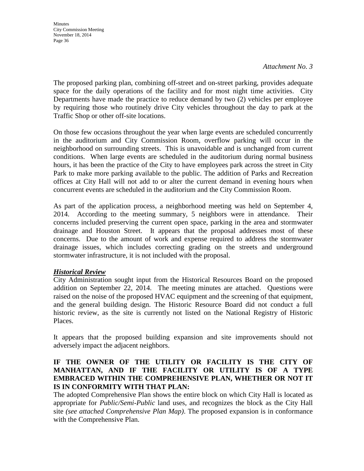*Attachment No. 3*

The proposed parking plan, combining off-street and on-street parking, provides adequate space for the daily operations of the facility and for most night time activities. City Departments have made the practice to reduce demand by two (2) vehicles per employee by requiring those who routinely drive City vehicles throughout the day to park at the Traffic Shop or other off-site locations.

On those few occasions throughout the year when large events are scheduled concurrently in the auditorium and City Commission Room, overflow parking will occur in the neighborhood on surrounding streets. This is unavoidable and is unchanged from current conditions. When large events are scheduled in the auditorium during normal business hours, it has been the practice of the City to have employees park across the street in City Park to make more parking available to the public. The addition of Parks and Recreation offices at City Hall will not add to or alter the current demand in evening hours when concurrent events are scheduled in the auditorium and the City Commission Room.

As part of the application process, a neighborhood meeting was held on September 4, 2014. According to the meeting summary, 5 neighbors were in attendance. Their concerns included preserving the current open space, parking in the area and stormwater drainage and Houston Street. It appears that the proposal addresses most of these concerns. Due to the amount of work and expense required to address the stormwater drainage issues, which includes correcting grading on the streets and underground stormwater infrastructure, it is not included with the proposal.

### *Historical Review*

City Administration sought input from the Historical Resources Board on the proposed addition on September 22, 2014. The meeting minutes are attached. Questions were raised on the noise of the proposed HVAC equipment and the screening of that equipment, and the general building design. The Historic Resource Board did not conduct a full historic review, as the site is currently not listed on the National Registry of Historic Places.

It appears that the proposed building expansion and site improvements should not adversely impact the adjacent neighbors.

### **IF THE OWNER OF THE UTILITY OR FACILITY IS THE CITY OF MANHATTAN, AND IF THE FACILITY OR UTILITY IS OF A TYPE EMBRACED WITHIN THE COMPREHENSIVE PLAN, WHETHER OR NOT IT IS IN CONFORMITY WITH THAT PLAN:**

The adopted Comprehensive Plan shows the entire block on which City Hall is located as appropriate for *Public/Semi-Public* land uses, and recognizes the block as the City Hall site *(see attached Comprehensive Plan Map)*. The proposed expansion is in conformance with the Comprehensive Plan.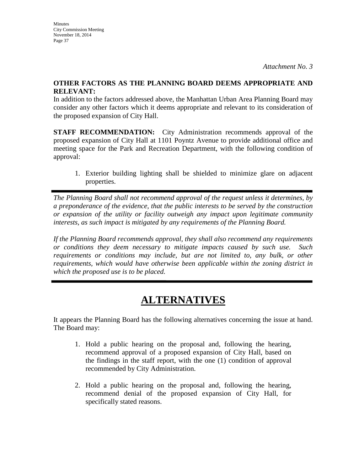### **OTHER FACTORS AS THE PLANNING BOARD DEEMS APPROPRIATE AND RELEVANT:**

In addition to the factors addressed above, the Manhattan Urban Area Planning Board may consider any other factors which it deems appropriate and relevant to its consideration of the proposed expansion of City Hall.

**STAFF RECOMMENDATION:** City Administration recommends approval of the proposed expansion of City Hall at 1101 Poyntz Avenue to provide additional office and meeting space for the Park and Recreation Department, with the following condition of approval:

1. Exterior building lighting shall be shielded to minimize glare on adjacent properties.

*The Planning Board shall not recommend approval of the request unless it determines, by a preponderance of the evidence, that the public interests to be served by the construction or expansion of the utility or facility outweigh any impact upon legitimate community interests, as such impact is mitigated by any requirements of the Planning Board.* 

*If the Planning Board recommends approval, they shall also recommend any requirements or conditions they deem necessary to mitigate impacts caused by such use. Such requirements or conditions may include, but are not limited to, any bulk, or other requirements, which would have otherwise been applicable within the zoning district in which the proposed use is to be placed.* 

# **ALTERNATIVES**

It appears the Planning Board has the following alternatives concerning the issue at hand. The Board may:

- 1. Hold a public hearing on the proposal and, following the hearing, recommend approval of a proposed expansion of City Hall, based on the findings in the staff report, with the one (1) condition of approval recommended by City Administration.
- 2. Hold a public hearing on the proposal and, following the hearing, recommend denial of the proposed expansion of City Hall, for specifically stated reasons.